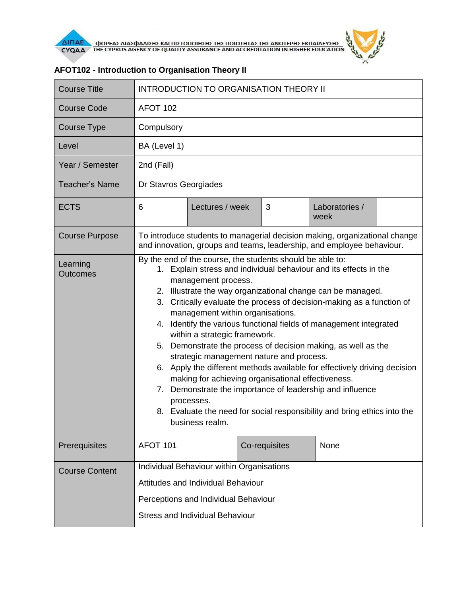

| <b>Course Title</b>         | <b>INTRODUCTION TO ORGANISATION THEORY II</b>                                                                                                                                                                                                                                                                                                                                                                                                                                                                                                                                                                                                                                                                                                                                                                                                                          |                 |  |               |                        |  |
|-----------------------------|------------------------------------------------------------------------------------------------------------------------------------------------------------------------------------------------------------------------------------------------------------------------------------------------------------------------------------------------------------------------------------------------------------------------------------------------------------------------------------------------------------------------------------------------------------------------------------------------------------------------------------------------------------------------------------------------------------------------------------------------------------------------------------------------------------------------------------------------------------------------|-----------------|--|---------------|------------------------|--|
| <b>Course Code</b>          | AFOT 102                                                                                                                                                                                                                                                                                                                                                                                                                                                                                                                                                                                                                                                                                                                                                                                                                                                               |                 |  |               |                        |  |
| Course Type                 | Compulsory                                                                                                                                                                                                                                                                                                                                                                                                                                                                                                                                                                                                                                                                                                                                                                                                                                                             |                 |  |               |                        |  |
| Level                       | BA (Level 1)                                                                                                                                                                                                                                                                                                                                                                                                                                                                                                                                                                                                                                                                                                                                                                                                                                                           |                 |  |               |                        |  |
| Year / Semester             | 2nd (Fall)                                                                                                                                                                                                                                                                                                                                                                                                                                                                                                                                                                                                                                                                                                                                                                                                                                                             |                 |  |               |                        |  |
| <b>Teacher's Name</b>       | Dr Stavros Georgiades                                                                                                                                                                                                                                                                                                                                                                                                                                                                                                                                                                                                                                                                                                                                                                                                                                                  |                 |  |               |                        |  |
| <b>ECTS</b>                 | 6                                                                                                                                                                                                                                                                                                                                                                                                                                                                                                                                                                                                                                                                                                                                                                                                                                                                      | Lectures / week |  | 3             | Laboratories /<br>week |  |
| <b>Course Purpose</b>       | To introduce students to managerial decision making, organizational change<br>and innovation, groups and teams, leadership, and employee behaviour.                                                                                                                                                                                                                                                                                                                                                                                                                                                                                                                                                                                                                                                                                                                    |                 |  |               |                        |  |
| Learning<br><b>Outcomes</b> | By the end of the course, the students should be able to:<br>1. Explain stress and individual behaviour and its effects in the<br>management process.<br>2. Illustrate the way organizational change can be managed.<br>3. Critically evaluate the process of decision-making as a function of<br>management within organisations.<br>4. Identify the various functional fields of management integrated<br>within a strategic framework.<br>5. Demonstrate the process of decision making, as well as the<br>strategic management nature and process.<br>6. Apply the different methods available for effectively driving decision<br>making for achieving organisational effectiveness.<br>Demonstrate the importance of leadership and influence<br>7.<br>processes.<br>8. Evaluate the need for social responsibility and bring ethics into the<br>business realm. |                 |  |               |                        |  |
| Prerequisites               | AFOT 101                                                                                                                                                                                                                                                                                                                                                                                                                                                                                                                                                                                                                                                                                                                                                                                                                                                               |                 |  | Co-requisites | None                   |  |
| <b>Course Content</b>       | Individual Behaviour within Organisations<br>Attitudes and Individual Behaviour<br>Perceptions and Individual Behaviour<br><b>Stress and Individual Behaviour</b>                                                                                                                                                                                                                                                                                                                                                                                                                                                                                                                                                                                                                                                                                                      |                 |  |               |                        |  |

## **AFOT102 - Introduction to Organisation Theory II**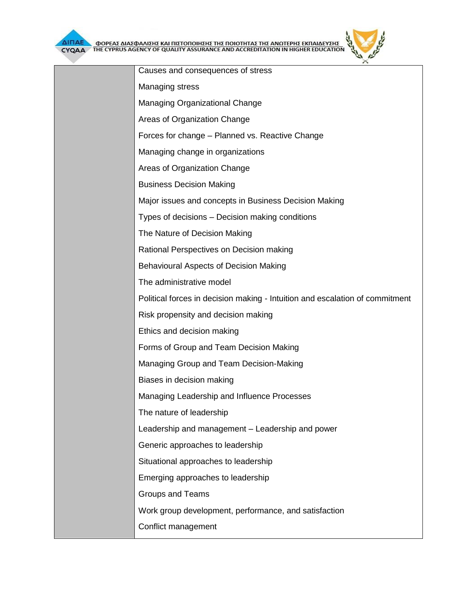| Causes and consequences of stress                                            |
|------------------------------------------------------------------------------|
| <b>Managing stress</b>                                                       |
| <b>Managing Organizational Change</b>                                        |
| Areas of Organization Change                                                 |
| Forces for change - Planned vs. Reactive Change                              |
| Managing change in organizations                                             |
| Areas of Organization Change                                                 |
| <b>Business Decision Making</b>                                              |
| Major issues and concepts in Business Decision Making                        |
| Types of decisions – Decision making conditions                              |
| The Nature of Decision Making                                                |
| Rational Perspectives on Decision making                                     |
| <b>Behavioural Aspects of Decision Making</b>                                |
| The administrative model                                                     |
| Political forces in decision making - Intuition and escalation of commitment |
| Risk propensity and decision making                                          |
| Ethics and decision making                                                   |
| Forms of Group and Team Decision Making                                      |
| Managing Group and Team Decision-Making                                      |
| Biases in decision making                                                    |
| Managing Leadership and Influence Processes                                  |
| The nature of leadership                                                     |
| Leadership and management – Leadership and power                             |
| Generic approaches to leadership                                             |
| Situational approaches to leadership                                         |
| Emerging approaches to leadership                                            |
| Groups and Teams                                                             |
| Work group development, performance, and satisfaction                        |
| Conflict management                                                          |